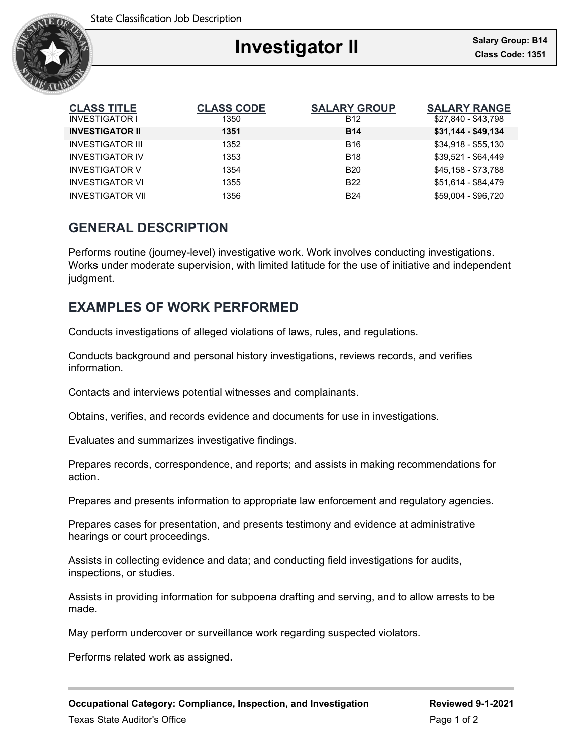

| <b>CLASS TITLE</b><br><b>INVESTIGATOR I</b> | <b>CLASS CODE</b><br>1350 | <b>SALARY GROUP</b><br><b>B12</b> | <b>SALARY RANGE</b><br>\$27,840 - \$43,798 |
|---------------------------------------------|---------------------------|-----------------------------------|--------------------------------------------|
| <b>INVESTIGATOR II</b>                      | 1351                      | <b>B14</b>                        | $$31,144 - $49,134$                        |
| <b>INVESTIGATOR III</b>                     | 1352                      | <b>B16</b>                        | \$34,918 - \$55,130                        |
| <b>INVESTIGATOR IV</b>                      | 1353                      | <b>B18</b>                        | $$39.521 - $64.449$                        |
| <b>INVESTIGATOR V</b>                       | 1354                      | <b>B20</b>                        | \$45,158 - \$73,788                        |
| <b>INVESTIGATOR VI</b>                      | 1355                      | <b>B22</b>                        | \$51,614 - \$84,479                        |
| <b>INVESTIGATOR VII</b>                     | 1356                      | <b>B24</b>                        | \$59.004 - \$96.720                        |

### **GENERAL DESCRIPTION**

Performs routine (journey-level) investigative work. Work involves conducting investigations. Works under moderate supervision, with limited latitude for the use of initiative and independent judgment.

## **EXAMPLES OF WORK PERFORMED**

Conducts investigations of alleged violations of laws, rules, and regulations.

Conducts background and personal history investigations, reviews records, and verifies information.

Contacts and interviews potential witnesses and complainants.

Obtains, verifies, and records evidence and documents for use in investigations.

Evaluates and summarizes investigative findings.

Prepares records, correspondence, and reports; and assists in making recommendations for action.

Prepares and presents information to appropriate law enforcement and regulatory agencies.

Prepares cases for presentation, and presents testimony and evidence at administrative hearings or court proceedings.

Assists in collecting evidence and data; and conducting field investigations for audits, inspections, or studies.

Assists in providing information for subpoena drafting and serving, and to allow arrests to be made.

May perform undercover or surveillance work regarding suspected violators.

Performs related work as assigned.

**Occupational Category: Compliance, Inspection, and Investigation Reviewed 9-1-2021**